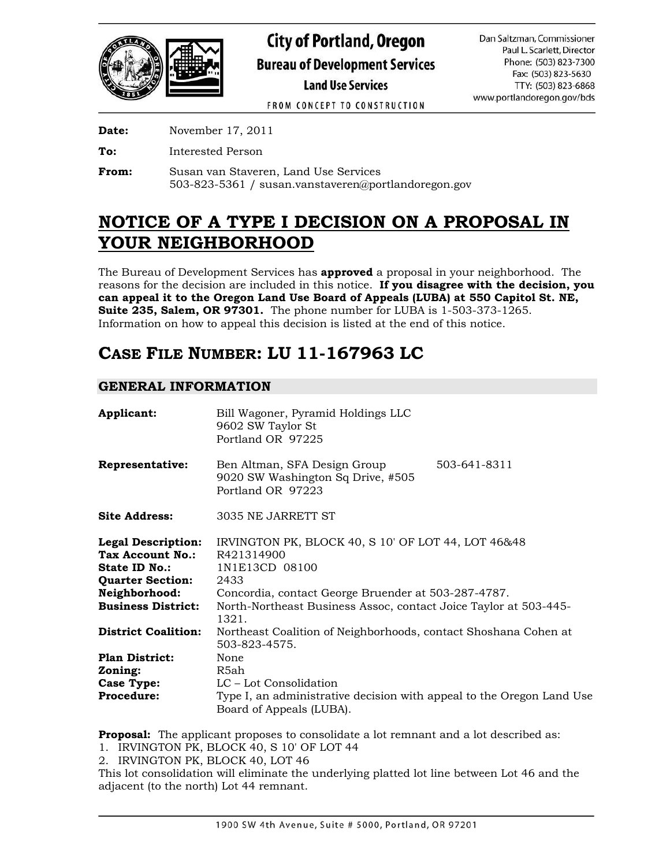

FROM CONCEPT TO CONSTRUCTION

**Date:** November 17, 2011

**To:** Interested Person

**From:** Susan van Staveren, Land Use Services 503-823-5361 / susan.vanstaveren@portlandoregon.gov

# **NOTICE OF A TYPE I DECISION ON A PROPOSAL IN YOUR NEIGHBORHOOD**

The Bureau of Development Services has **approved** a proposal in your neighborhood. The reasons for the decision are included in this notice. **If you disagree with the decision, you can appeal it to the Oregon Land Use Board of Appeals (LUBA) at 550 Capitol St. NE, Suite 235, Salem, OR 97301.** The phone number for LUBA is 1-503-373-1265. Information on how to appeal this decision is listed at the end of this notice.

## **CASE FILE NUMBER: LU 11-167963 LC**

## **GENERAL INFORMATION**

| Applicant:                                                                                                                                     | Bill Wagoner, Pyramid Holdings LLC<br>9602 SW Taylor St<br>Portland OR 97225                                                                                                                                                   |  |  |  |  |  |  |  |
|------------------------------------------------------------------------------------------------------------------------------------------------|--------------------------------------------------------------------------------------------------------------------------------------------------------------------------------------------------------------------------------|--|--|--|--|--|--|--|
| Representative:                                                                                                                                | 503-641-8311<br>Ben Altman, SFA Design Group<br>9020 SW Washington Sq Drive, #505<br>Portland OR 97223                                                                                                                         |  |  |  |  |  |  |  |
| <b>Site Address:</b>                                                                                                                           | 3035 NE JARRETT ST                                                                                                                                                                                                             |  |  |  |  |  |  |  |
| <b>Legal Description:</b><br>Tax Account No.:<br><b>State ID No.:</b><br><b>Quarter Section:</b><br>Neighborhood:<br><b>Business District:</b> | IRVINGTON PK, BLOCK 40, S 10' OF LOT 44, LOT 46&48<br>R421314900<br>1N1E13CD 08100<br>2433<br>Concordia, contact George Bruender at 503-287-4787.<br>North-Northeast Business Assoc, contact Joice Taylor at 503-445-<br>1321. |  |  |  |  |  |  |  |
| <b>District Coalition:</b>                                                                                                                     | Northeast Coalition of Neighborhoods, contact Shoshana Cohen at<br>503-823-4575.                                                                                                                                               |  |  |  |  |  |  |  |
| <b>Plan District:</b><br>Zoning:<br><b>Case Type:</b><br><b>Procedure:</b>                                                                     | None<br>R5ah<br>LC – Lot Consolidation<br>Type I, an administrative decision with appeal to the Oregon Land Use<br>Board of Appeals (LUBA).                                                                                    |  |  |  |  |  |  |  |

**Proposal:** The applicant proposes to consolidate a lot remnant and a lot described as:

1. IRVINGTON PK, BLOCK 40, S 10' OF LOT 44

2. IRVINGTON PK, BLOCK 40, LOT 46

This lot consolidation will eliminate the underlying platted lot line between Lot 46 and the adjacent (to the north) Lot 44 remnant.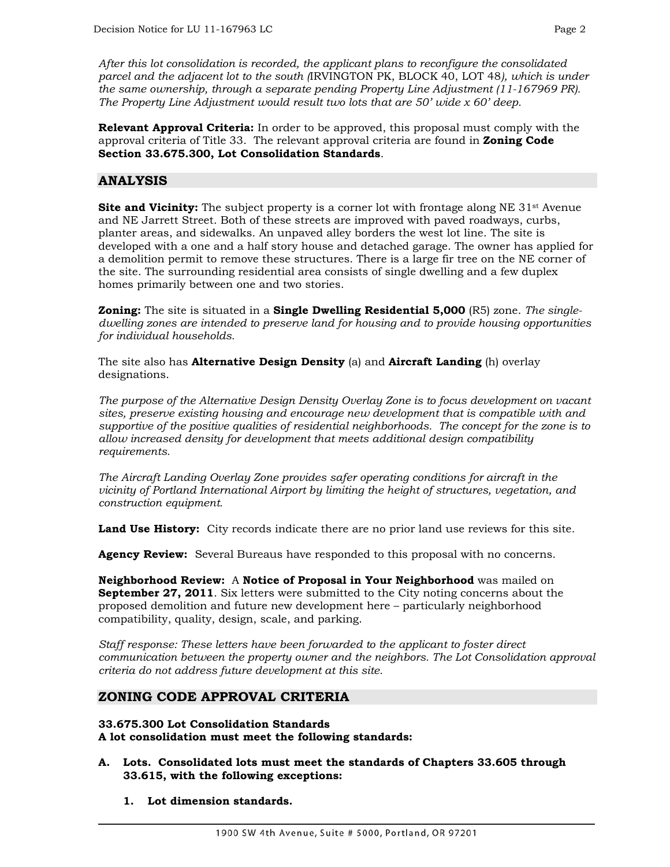*After this lot consolidation is recorded, the applicant plans to reconfigure the consolidated parcel and the adjacent lot to the south (*IRVINGTON PK, BLOCK 40, LOT 48*), which is under the same ownership, through a separate pending Property Line Adjustment (11-167969 PR). The Property Line Adjustment would result two lots that are 50' wide x 60' deep.* 

**Relevant Approval Criteria:** In order to be approved, this proposal must comply with the approval criteria of Title 33. The relevant approval criteria are found in **Zoning Code Section 33.675.300, Lot Consolidation Standards**.

## **ANALYSIS**

**Site and Vicinity:** The subject property is a corner lot with frontage along NE 31<sup>st</sup> Avenue and NE Jarrett Street. Both of these streets are improved with paved roadways, curbs, planter areas, and sidewalks. An unpaved alley borders the west lot line. The site is developed with a one and a half story house and detached garage. The owner has applied for a demolition permit to remove these structures. There is a large fir tree on the NE corner of the site. The surrounding residential area consists of single dwelling and a few duplex homes primarily between one and two stories.

**Zoning:** The site is situated in a **Single Dwelling Residential 5,000** (R5) zone. *The singledwelling zones are intended to preserve land for housing and to provide housing opportunities for individual households.* 

The site also has **Alternative Design Density** (a) and **Aircraft Landing** (h) overlay designations.

*The purpose of the Alternative Design Density Overlay Zone is to focus development on vacant sites, preserve existing housing and encourage new development that is compatible with and supportive of the positive qualities of residential neighborhoods. The concept for the zone is to allow increased density for development that meets additional design compatibility requirements.* 

*The Aircraft Landing Overlay Zone provides safer operating conditions for aircraft in the vicinity of Portland International Airport by limiting the height of structures, vegetation, and construction equipment.* 

**Land Use History:** City records indicate there are no prior land use reviews for this site.

**Agency Review:** Several Bureaus have responded to this proposal with no concerns.

**Neighborhood Review:** A **Notice of Proposal in Your Neighborhood** was mailed on **September 27, 2011**. Six letters were submitted to the City noting concerns about the proposed demolition and future new development here – particularly neighborhood compatibility, quality, design, scale, and parking.

*Staff response: These letters have been forwarded to the applicant to foster direct communication between the property owner and the neighbors. The Lot Consolidation approval criteria do not address future development at this site.* 

## **ZONING CODE APPROVAL CRITERIA**

**33.675.300 Lot Consolidation Standards A lot consolidation must meet the following standards:** 

- **A. Lots. Consolidated lots must meet the standards of Chapters 33.605 through 33.615, with the following exceptions:** 
	- **1. Lot dimension standards.**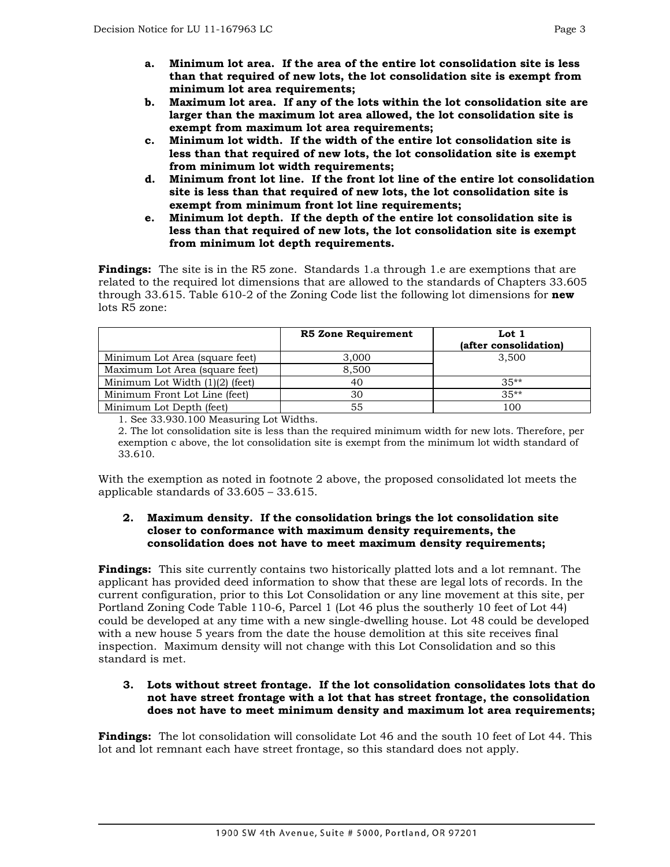- **a. Minimum lot area. If the area of the entire lot consolidation site is less than that required of new lots, the lot consolidation site is exempt from minimum lot area requirements;**
- **b. Maximum lot area. If any of the lots within the lot consolidation site are larger than the maximum lot area allowed, the lot consolidation site is exempt from maximum lot area requirements;**
- **c. Minimum lot width. If the width of the entire lot consolidation site is less than that required of new lots, the lot consolidation site is exempt from minimum lot width requirements;**
- **d. Minimum front lot line. If the front lot line of the entire lot consolidation site is less than that required of new lots, the lot consolidation site is exempt from minimum front lot line requirements;**
- **e. Minimum lot depth. If the depth of the entire lot consolidation site is less than that required of new lots, the lot consolidation site is exempt from minimum lot depth requirements.**

**Findings:** The site is in the R5 zone. Standards 1.a through 1.e are exemptions that are related to the required lot dimensions that are allowed to the standards of Chapters 33.605 through 33.615. Table 610-2 of the Zoning Code list the following lot dimensions for **new** lots R5 zone:

|                                   | <b>R5 Zone Requirement</b> | Lot $1$<br>(after consolidation) |
|-----------------------------------|----------------------------|----------------------------------|
| Minimum Lot Area (square feet)    | 3,000                      | 3.500                            |
| Maximum Lot Area (square feet)    | 8.500                      |                                  |
| Minimum Lot Width $(1)(2)$ (feet) | 40                         | $35**$                           |
| Minimum Front Lot Line (feet)     | 30                         | $35**$                           |
| Minimum Lot Depth (feet)          | 55                         | 100                              |

1. See 33.930.100 Measuring Lot Widths.

2. The lot consolidation site is less than the required minimum width for new lots. Therefore, per exemption c above, the lot consolidation site is exempt from the minimum lot width standard of 33.610.

With the exemption as noted in footnote 2 above, the proposed consolidated lot meets the applicable standards of 33.605 – 33.615.

#### **2. Maximum density. If the consolidation brings the lot consolidation site closer to conformance with maximum density requirements, the consolidation does not have to meet maximum density requirements;**

**Findings:** This site currently contains two historically platted lots and a lot remnant. The applicant has provided deed information to show that these are legal lots of records. In the current configuration, prior to this Lot Consolidation or any line movement at this site, per Portland Zoning Code Table 110-6, Parcel 1 (Lot 46 plus the southerly 10 feet of Lot 44) could be developed at any time with a new single-dwelling house. Lot 48 could be developed with a new house 5 years from the date the house demolition at this site receives final inspection. Maximum density will not change with this Lot Consolidation and so this standard is met.

#### **3. Lots without street frontage. If the lot consolidation consolidates lots that do not have street frontage with a lot that has street frontage, the consolidation does not have to meet minimum density and maximum lot area requirements;**

**Findings:** The lot consolidation will consolidate Lot 46 and the south 10 feet of Lot 44. This lot and lot remnant each have street frontage, so this standard does not apply.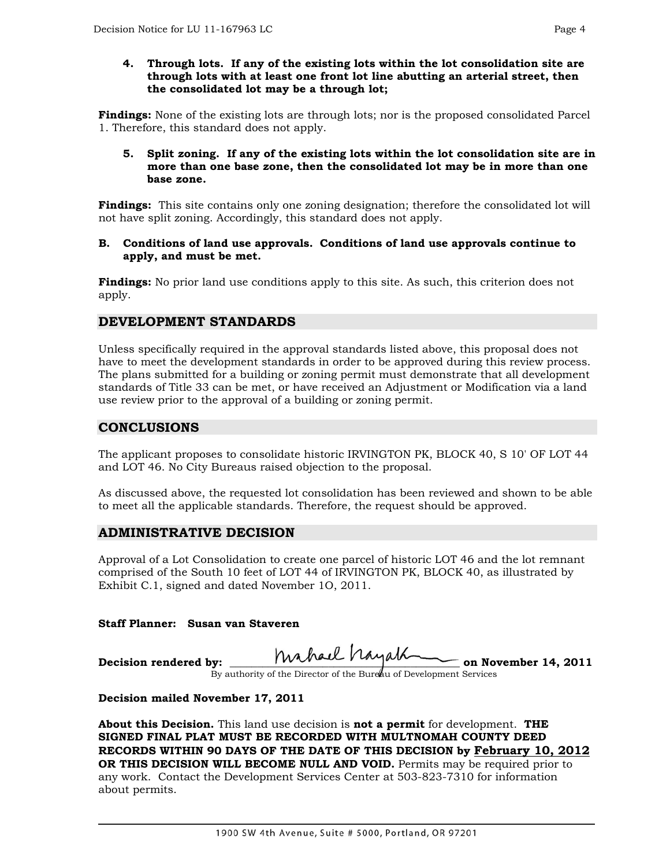#### **4. Through lots. If any of the existing lots within the lot consolidation site are through lots with at least one front lot line abutting an arterial street, then the consolidated lot may be a through lot;**

**Findings:** None of the existing lots are through lots; nor is the proposed consolidated Parcel 1. Therefore, this standard does not apply.

#### **5. Split zoning. If any of the existing lots within the lot consolidation site are in more than one base zone, then the consolidated lot may be in more than one base zone.**

**Findings:** This site contains only one zoning designation; therefore the consolidated lot will not have split zoning. Accordingly, this standard does not apply.

#### **B. Conditions of land use approvals. Conditions of land use approvals continue to apply, and must be met.**

**Findings:** No prior land use conditions apply to this site. As such, this criterion does not apply.

## **DEVELOPMENT STANDARDS**

Unless specifically required in the approval standards listed above, this proposal does not have to meet the development standards in order to be approved during this review process. The plans submitted for a building or zoning permit must demonstrate that all development standards of Title 33 can be met, or have received an Adjustment or Modification via a land use review prior to the approval of a building or zoning permit.

## **CONCLUSIONS**

The applicant proposes to consolidate historic IRVINGTON PK, BLOCK 40, S 10' OF LOT 44 and LOT 46. No City Bureaus raised objection to the proposal.

As discussed above, the requested lot consolidation has been reviewed and shown to be able to meet all the applicable standards. Therefore, the request should be approved.

## **ADMINISTRATIVE DECISION**

Approval of a Lot Consolidation to create one parcel of historic LOT 46 and the lot remnant comprised of the South 10 feet of LOT 44 of IRVINGTON PK, BLOCK 40, as illustrated by Exhibit C.1, signed and dated November 1O, 2011.

### **Staff Planner: Susan van Staveren**

**Decision rendered by: \_\_\_\_\_\_\_\_\_\_\_\_\_\_\_\_\_\_\_\_\_\_\_\_\_\_\_\_\_\_\_\_\_\_\_\_\_\_\_\_\_\_ on November 14, 2011** 

By authority of the Director of the Bureau of Development Services

### **Decision mailed November 17, 2011**

**About this Decision.** This land use decision is **not a permit** for development. **THE SIGNED FINAL PLAT MUST BE RECORDED WITH MULTNOMAH COUNTY DEED RECORDS WITHIN 90 DAYS OF THE DATE OF THIS DECISION by February 10, 2012 OR THIS DECISION WILL BECOME NULL AND VOID.** Permits may be required prior to any work. Contact the Development Services Center at 503-823-7310 for information about permits.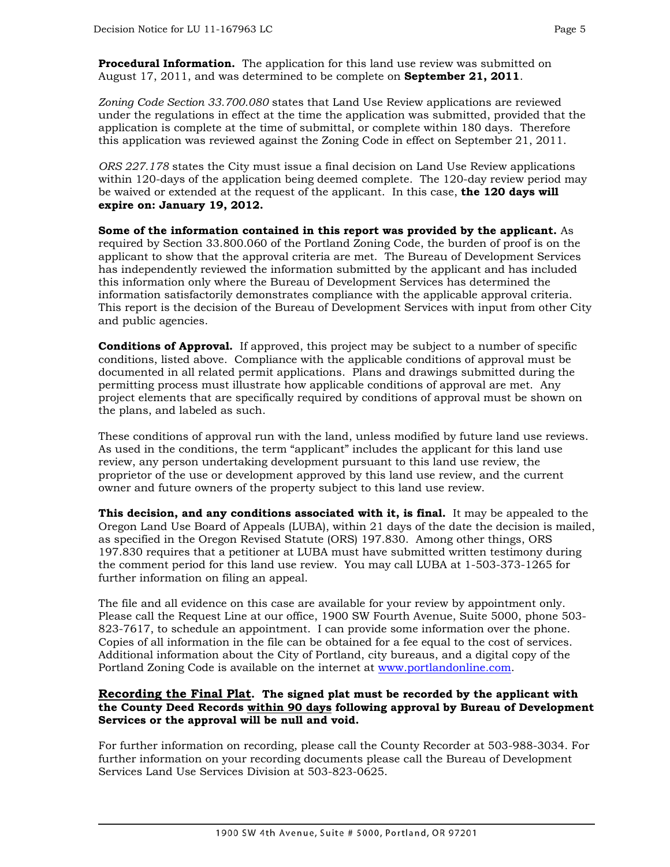**Procedural Information.** The application for this land use review was submitted on August 17, 2011, and was determined to be complete on **September 21, 2011**.

*Zoning Code Section 33.700.080* states that Land Use Review applications are reviewed under the regulations in effect at the time the application was submitted, provided that the application is complete at the time of submittal, or complete within 180 days. Therefore this application was reviewed against the Zoning Code in effect on September 21, 2011.

*ORS 227.178* states the City must issue a final decision on Land Use Review applications within 120-days of the application being deemed complete. The 120-day review period may be waived or extended at the request of the applicant. In this case, **the 120 days will expire on: January 19, 2012.**

**Some of the information contained in this report was provided by the applicant.** As required by Section 33.800.060 of the Portland Zoning Code, the burden of proof is on the applicant to show that the approval criteria are met. The Bureau of Development Services has independently reviewed the information submitted by the applicant and has included this information only where the Bureau of Development Services has determined the information satisfactorily demonstrates compliance with the applicable approval criteria. This report is the decision of the Bureau of Development Services with input from other City and public agencies.

**Conditions of Approval.** If approved, this project may be subject to a number of specific conditions, listed above. Compliance with the applicable conditions of approval must be documented in all related permit applications. Plans and drawings submitted during the permitting process must illustrate how applicable conditions of approval are met. Any project elements that are specifically required by conditions of approval must be shown on the plans, and labeled as such.

These conditions of approval run with the land, unless modified by future land use reviews. As used in the conditions, the term "applicant" includes the applicant for this land use review, any person undertaking development pursuant to this land use review, the proprietor of the use or development approved by this land use review, and the current owner and future owners of the property subject to this land use review.

**This decision, and any conditions associated with it, is final.** It may be appealed to the Oregon Land Use Board of Appeals (LUBA), within 21 days of the date the decision is mailed, as specified in the Oregon Revised Statute (ORS) 197.830. Among other things, ORS 197.830 requires that a petitioner at LUBA must have submitted written testimony during the comment period for this land use review. You may call LUBA at 1-503-373-1265 for further information on filing an appeal.

The file and all evidence on this case are available for your review by appointment only. Please call the Request Line at our office, 1900 SW Fourth Avenue, Suite 5000, phone 503- 823-7617, to schedule an appointment. I can provide some information over the phone. Copies of all information in the file can be obtained for a fee equal to the cost of services. Additional information about the City of Portland, city bureaus, and a digital copy of the Portland Zoning Code is available on the internet at [www.portlandonline.com](http://www.portlandonline.com/).

#### **Recording the Final Plat. The signed plat must be recorded by the applicant with the County Deed Records within 90 days following approval by Bureau of Development Services or the approval will be null and void.**

For further information on recording, please call the County Recorder at 503-988-3034. For further information on your recording documents please call the Bureau of Development Services Land Use Services Division at 503-823-0625.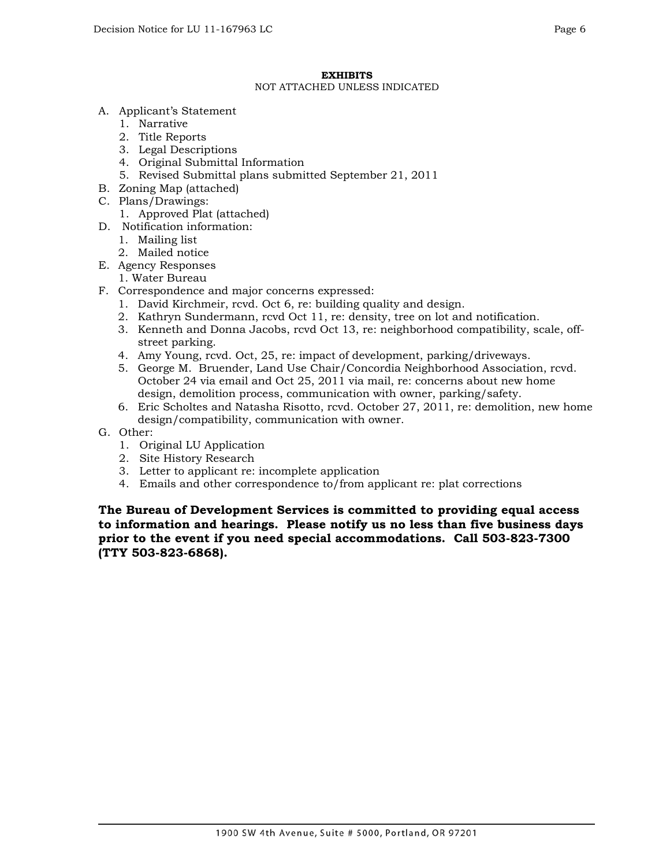#### NOT ATTACHED UNLESS INDICATED

- A. Applicant's Statement
	- 1. Narrative
	- 2. Title Reports
	- 3. Legal Descriptions
	- 4. Original Submittal Information
	- 5. Revised Submittal plans submitted September 21, 2011
- B. Zoning Map (attached)
- C. Plans/Drawings:
	- 1. Approved Plat (attached)
- D. Notification information:
	- 1. Mailing list
	- 2. Mailed notice
- E. Agency Responses
	- 1. Water Bureau
- F. Correspondence and major concerns expressed:
	- 1. David Kirchmeir, rcvd. Oct 6, re: building quality and design.
	- 2. Kathryn Sundermann, rcvd Oct 11, re: density, tree on lot and notification.
	- 3. Kenneth and Donna Jacobs, rcvd Oct 13, re: neighborhood compatibility, scale, offstreet parking.
	- 4. Amy Young, rcvd. Oct, 25, re: impact of development, parking/driveways.
	- 5. George M. Bruender, Land Use Chair/Concordia Neighborhood Association, rcvd. October 24 via email and Oct 25, 2011 via mail, re: concerns about new home design, demolition process, communication with owner, parking/safety.
	- 6. Eric Scholtes and Natasha Risotto, rcvd. October 27, 2011, re: demolition, new home design/compatibility, communication with owner.
- G. Other:
	- 1. Original LU Application
	- 2. Site History Research
	- 3. Letter to applicant re: incomplete application
	- 4. Emails and other correspondence to/from applicant re: plat corrections

**The Bureau of Development Services is committed to providing equal access to information and hearings. Please notify us no less than five business days prior to the event if you need special accommodations. Call 503-823-7300 (TTY 503-823-6868).**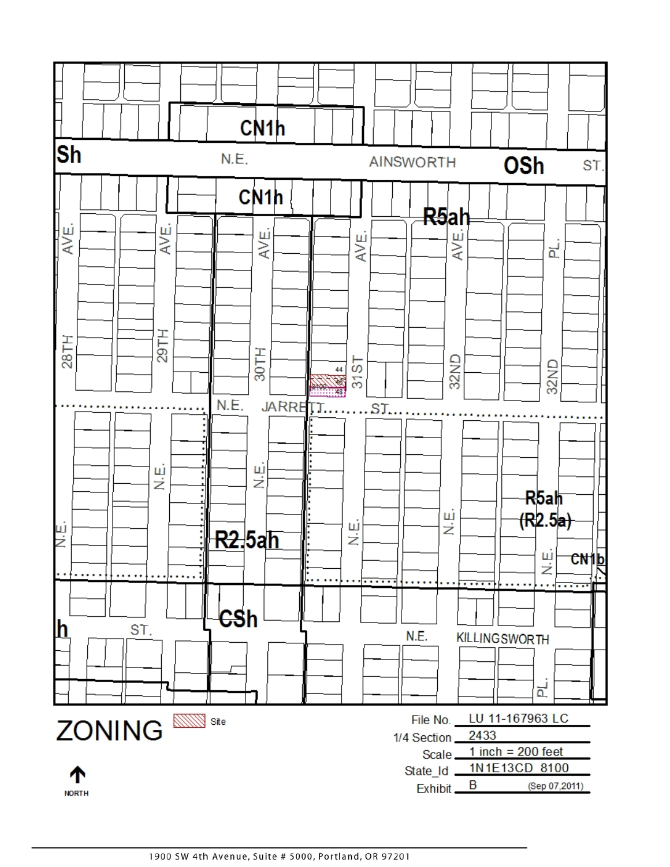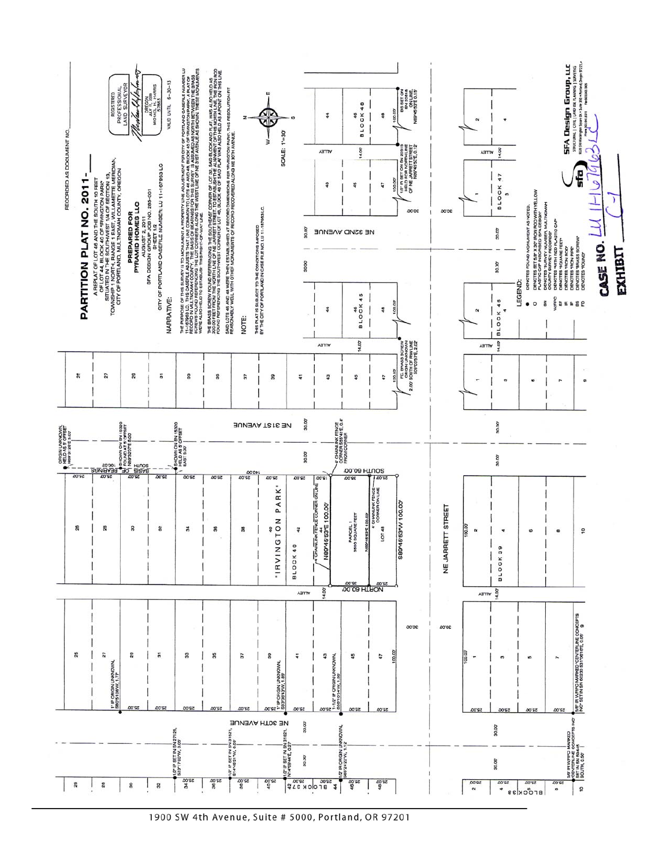

1900 SW 4th Avenue, Suite # 5000, Portland, OR 97201